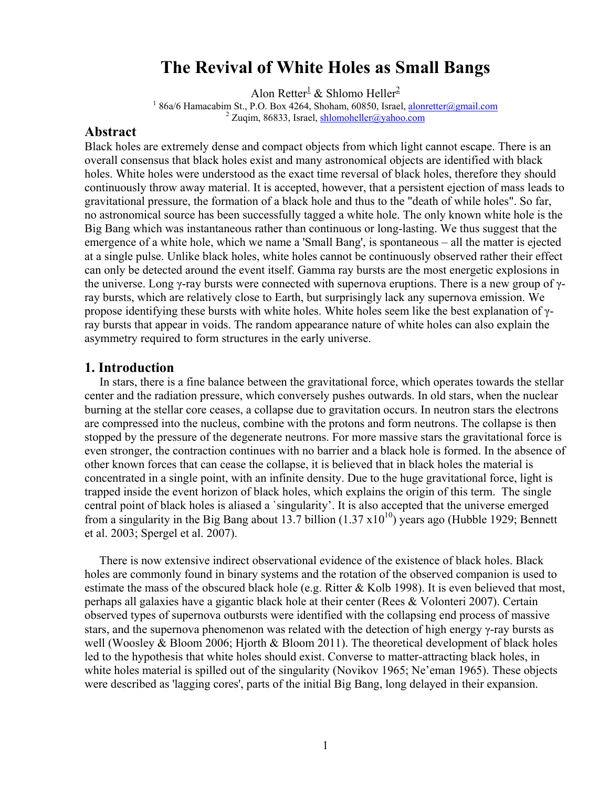# **The Revival of White Holes as Small Bangs**

Alon Retter $^1$  & Shlomo Heller<sup>2</sup>

<sup>1</sup> 86a/6 Hamacabim St., P.O. Box 4264, Shoham, 60850, Israel, alonretter@gmail.com  $2$  Zuqim, 86833, Israel, shlomoheller@yahoo.com

#### **Abstract**

Black holes are extremely dense and compact objects from which light cannot escape. There is an overall consensus that black holes exist and many astronomical objects are identified with black holes. White holes were understood as the exact time reversal of black holes, therefore they should continuously throw away material. It is accepted, however, that a persistent ejection of mass leads to gravitational pressure, the formation of a black hole and thus to the "death of while holes". So far, no astronomical source has been successfully tagged a white hole. The only known white hole is the Big Bang which was instantaneous rather than continuous or long-lasting. We thus suggest that the emergence of a white hole, which we name a 'Small Bang', is spontaneous – all the matter is ejected at a single pulse. Unlike black holes, white holes cannot be continuously observed rather their effect can only be detected around the event itself. Gamma ray bursts are the most energetic explosions in the universe. Long γ-ray bursts were connected with supernova eruptions. There is a new group of γray bursts, which are relatively close to Earth, but surprisingly lack any supernova emission. We propose identifying these bursts with white holes. White holes seem like the best explanation of γray bursts that appear in voids. The random appearance nature of white holes can also explain the asymmetry required to form structures in the early universe.

#### **1. Introduction**

 In stars, there is a fine balance between the gravitational force, which operates towards the stellar center and the radiation pressure, which conversely pushes outwards. In old stars, when the nuclear burning at the stellar core ceases, a collapse due to gravitation occurs. In neutron stars the electrons are compressed into the nucleus, combine with the protons and form neutrons. The collapse is then stopped by the pressure of the degenerate neutrons. For more massive stars the gravitational force is even stronger, the contraction continues with no barrier and a black hole is formed. In the absence of other known forces that can cease the collapse, it is believed that in black holes the material is concentrated in a single point, with an infinite density. Due to the huge gravitational force, light is trapped inside the event horizon of black holes, which explains the origin of this term. The single central point of black holes is aliased a `singularity'. It is also accepted that the universe emerged from a singularity in the Big Bang about 13.7 billion  $(1.37 \times 10^{10})$  years ago (Hubble 1929; Bennett et al. 2003; Spergel et al. 2007).

 There is now extensive indirect observational evidence of the existence of black holes. Black holes are commonly found in binary systems and the rotation of the observed companion is used to estimate the mass of the obscured black hole (e.g. Ritter & Kolb 1998). It is even believed that most, perhaps all galaxies have a gigantic black hole at their center (Rees & Volonteri 2007). Certain observed types of supernova outbursts were identified with the collapsing end process of massive stars, and the supernova phenomenon was related with the detection of high energy γ-ray bursts as well (Woosley & Bloom 2006; Hjorth & Bloom 2011). The theoretical development of black holes led to the hypothesis that white holes should exist. Converse to matter-attracting black holes, in white holes material is spilled out of the singularity (Novikov 1965; Ne'eman 1965). These objects were described as 'lagging cores', parts of the initial Big Bang, long delayed in their expansion.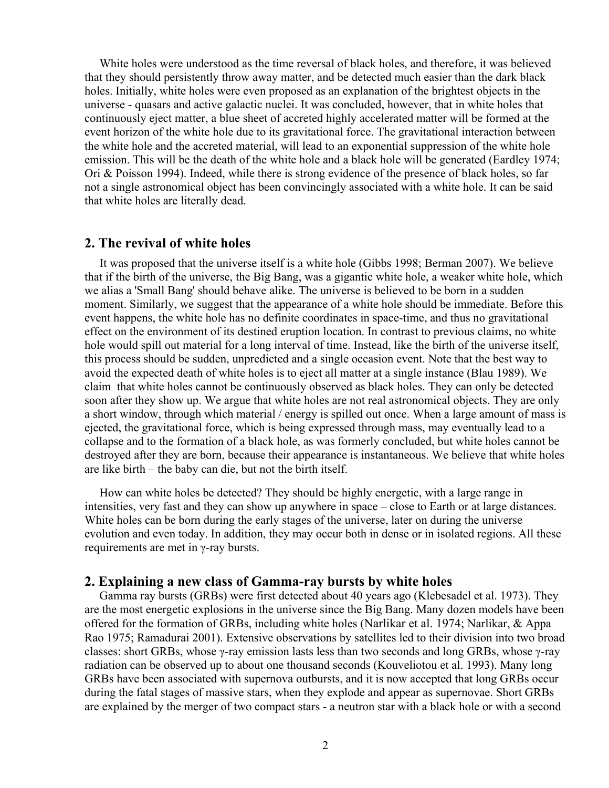White holes were understood as the time reversal of black holes, and therefore, it was believed that they should persistently throw away matter, and be detected much easier than the dark black holes. Initially, white holes were even proposed as an explanation of the brightest objects in the universe - quasars and active galactic nuclei. It was concluded, however, that in white holes that continuously eject matter, a blue sheet of accreted highly accelerated matter will be formed at the event horizon of the white hole due to its gravitational force. The gravitational interaction between the white hole and the accreted material, will lead to an exponential suppression of the white hole emission. This will be the death of the white hole and a black hole will be generated (Eardley 1974; Ori & Poisson 1994). Indeed, while there is strong evidence of the presence of black holes, so far not a single astronomical object has been convincingly associated with a white hole. It can be said that white holes are literally dead.

#### **2. The revival of white holes**

 It was proposed that the universe itself is a white hole (Gibbs 1998; Berman 2007). We believe that if the birth of the universe, the Big Bang, was a gigantic white hole, a weaker white hole, which we alias a 'Small Bang' should behave alike. The universe is believed to be born in a sudden moment. Similarly, we suggest that the appearance of a white hole should be immediate. Before this event happens, the white hole has no definite coordinates in space-time, and thus no gravitational effect on the environment of its destined eruption location. In contrast to previous claims, no white hole would spill out material for a long interval of time. Instead, like the birth of the universe itself, this process should be sudden, unpredicted and a single occasion event. Note that the best way to avoid the expected death of white holes is to eject all matter at a single instance (Blau 1989). We claim that white holes cannot be continuously observed as black holes. They can only be detected soon after they show up. We argue that white holes are not real astronomical objects. They are only a short window, through which material / energy is spilled out once. When a large amount of mass is ejected, the gravitational force, which is being expressed through mass, may eventually lead to a collapse and to the formation of a black hole, as was formerly concluded, but white holes cannot be destroyed after they are born, because their appearance is instantaneous. We believe that white holes are like birth – the baby can die, but not the birth itself.

 How can white holes be detected? They should be highly energetic, with a large range in intensities, very fast and they can show up anywhere in space – close to Earth or at large distances. White holes can be born during the early stages of the universe, later on during the universe evolution and even today. In addition, they may occur both in dense or in isolated regions. All these requirements are met in γ-ray bursts.

#### **2. Explaining a new class of Gamma-ray bursts by white holes**

 Gamma ray bursts (GRBs) were first detected about 40 years ago (Klebesadel et al. 1973). They are the most energetic explosions in the universe since the Big Bang. Many dozen models have been offered for the formation of GRBs, including white holes (Narlikar et al. 1974; Narlikar, & Appa Rao 1975; Ramadurai 2001). Extensive observations by satellites led to their division into two broad classes: short GRBs, whose γ-ray emission lasts less than two seconds and long GRBs, whose γ-ray radiation can be observed up to about one thousand seconds (Kouveliotou et al. 1993). Many long GRBs have been associated with supernova outbursts, and it is now accepted that long GRBs occur during the fatal stages of massive stars, when they explode and appear as supernovae. Short GRBs are explained by the merger of two compact stars - a neutron star with a black hole or with a second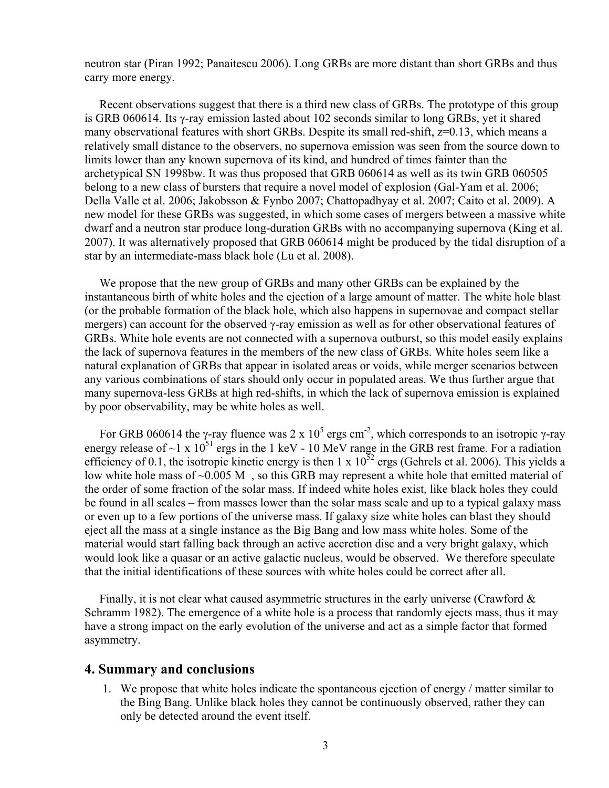neutron star (Piran 1992; Panaitescu 2006). Long GRBs are more distant than short GRBs and thus carry more energy.

 Recent observations suggest that there is a third new class of GRBs. The prototype of this group is GRB 060614. Its  $\gamma$ -ray emission lasted about 102 seconds similar to long GRBs, yet it shared many observational features with short GRBs. Despite its small red-shift,  $z=0.13$ , which means a relatively small distance to the observers, no supernova emission was seen from the source down to limits lower than any known supernova of its kind, and hundred of times fainter than the archetypical SN 1998bw. It was thus proposed that GRB 060614 as well as its twin GRB 060505 belong to a new class of bursters that require a novel model of explosion (Gal-Yam et al. 2006; Della Valle et al. 2006; Jakobsson & Fynbo 2007; Chattopadhyay et al. 2007; Caito et al. 2009). A new model for these GRBs was suggested, in which some cases of mergers between a massive white dwarf and a neutron star produce long-duration GRBs with no accompanying supernova (King et al. 2007). It was alternatively proposed that GRB 060614 might be produced by the tidal disruption of a star by an intermediate-mass black hole (Lu et al. 2008).

 We propose that the new group of GRBs and many other GRBs can be explained by the instantaneous birth of white holes and the ejection of a large amount of matter. The white hole blast (or the probable formation of the black hole, which also happens in supernovae and compact stellar mergers) can account for the observed γ-ray emission as well as for other observational features of GRBs. White hole events are not connected with a supernova outburst, so this model easily explains the lack of supernova features in the members of the new class of GRBs. White holes seem like a natural explanation of GRBs that appear in isolated areas or voids, while merger scenarios between any various combinations of stars should only occur in populated areas. We thus further argue that many supernova-less GRBs at high red-shifts, in which the lack of supernova emission is explained by poor observability, may be white holes as well.

For GRB 060614 the γ-ray fluence was 2 x  $10^5$  ergs cm<sup>-2</sup>, which corresponds to an isotropic γ-ray energy release of  $\sim$ 1 x 10<sup>51</sup> ergs in the 1 keV - 10 MeV range in the GRB rest frame. For a radiation efficiency of 0.1, the isotropic kinetic energy is then 1 x  $10^{52}$  ergs (Gehrels et al. 2006). This yields a low white hole mass of  $\sim 0.005$  M, so this GRB may represent a white hole that emitted material of the order of some fraction of the solar mass. If indeed white holes exist, like black holes they could be found in all scales – from masses lower than the solar mass scale and up to a typical galaxy mass or even up to a few portions of the universe mass. If galaxy size white holes can blast they should eject all the mass at a single instance as the Big Bang and low mass white holes. Some of the material would start falling back through an active accretion disc and a very bright galaxy, which would look like a quasar or an active galactic nucleus, would be observed. We therefore speculate that the initial identifications of these sources with white holes could be correct after all.

 Finally, it is not clear what caused asymmetric structures in the early universe (Crawford & Schramm 1982). The emergence of a white hole is a process that randomly ejects mass, thus it may have a strong impact on the early evolution of the universe and act as a simple factor that formed asymmetry.

## **4. Summary and conclusions**

1. We propose that white holes indicate the spontaneous ejection of energy / matter similar to the Bing Bang. Unlike black holes they cannot be continuously observed, rather they can only be detected around the event itself.